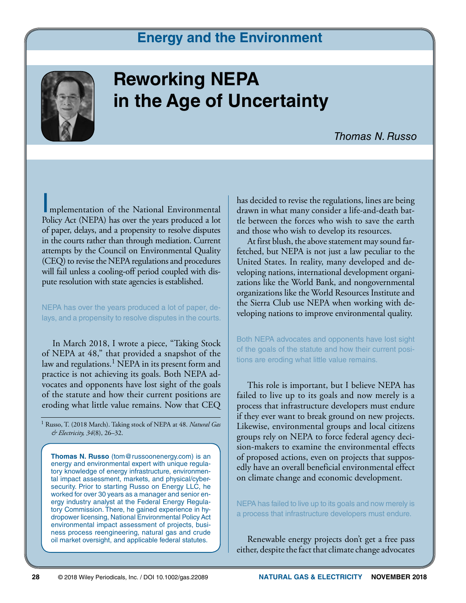# **Energy and the Environment**



# **Reworking NEPA in the Age of Uncertainty**

*Thomas N. Russo*

Implementation of the National Environmental Policy Act (NEPA) has over the years produced a lot of paper, delays, and a propensity to resolve disputes in the courts rather than through mediation. Current attempts by the Council on Environmental Quality (CEQ) to revise the NEPA regulations and procedures will fail unless a cooling-off period coupled with dispute resolution with state agencies is established.

NEPA has over the years produced a lot of paper, delays, and a propensity to resolve disputes in the courts.

In March 2018, I wrote a piece, "Taking Stock of NEPA at 48," that provided a snapshot of the law and regulations.<sup>1</sup> NEPA in its present form and practice is not achieving its goals. Both NEPA advocates and opponents have lost sight of the goals of the statute and how their current positions are eroding what little value remains. Now that CEQ

1 Russo, T. (2018 March). Taking stock of NEPA at 48. *Natural Gas & Electricity, 34*(8), 26–32.

**Thomas N. Russo** (tom@russoonenergy.com) is an energy and environmental expert with unique regulatory knowledge of energy infrastructure, environmental impact assessment, markets, and physical/cybersecurity. Prior to starting Russo on Energy LLC, he worked for over 30 years as a manager and senior energy industry analyst at the Federal Energy Regulatory Commission. There, he gained experience in hydropower licensing, National Environmental Policy Act environmental impact assessment of projects, business process reengineering, natural gas and crude oil market oversight, and applicable federal statutes.

has decided to revise the regulations, lines are being drawn in what many consider a life-and-death battle between the forces who wish to save the earth and those who wish to develop its resources.

At first blush, the above statement may sound farfetched, but NEPA is not just a law peculiar to the United States. In reality, many developed and developing nations, international development organizations like the World Bank, and nongovernmental organizations like the World Resources Institute and the Sierra Club use NEPA when working with developing nations to improve environmental quality.

Both NEPA advocates and opponents have lost sight of the goals of the statute and how their current positions are eroding what little value remains.

This role is important, but I believe NEPA has failed to live up to its goals and now merely is a process that infrastructure developers must endure if they ever want to break ground on new projects. Likewise, environmental groups and local citizens groups rely on NEPA to force federal agency decision-makers to examine the environmental effects of proposed actions, even on projects that supposedly have an overall beneficial environmental effect on climate change and economic development.

NEPA has failed to live up to its goals and now merely is a process that infrastructure developers must endure.

Renewable energy projects don't get a free pass either, despite the fact that climate change advocates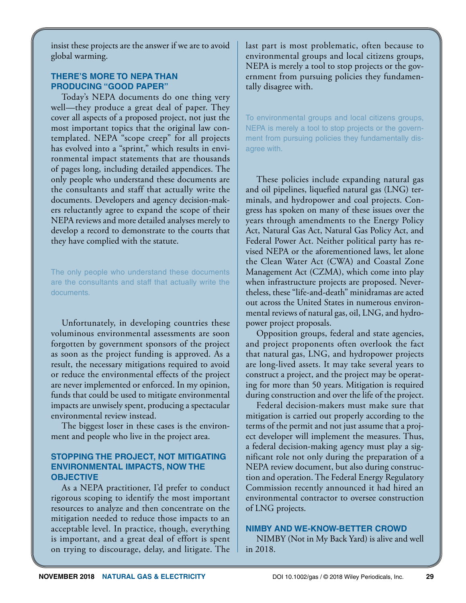insist these projects are the answer if we are to avoid global warming.

#### **THERE'S MORE TO NEPA THAN PRODUCING "GOOD PAPER"**

Today's NEPA documents do one thing very well—they produce a great deal of paper. They cover all aspects of a proposed project, not just the most important topics that the original law contemplated. NEPA "scope creep" for all projects has evolved into a "sprint," which results in environmental impact statements that are thousands of pages long, including detailed appendices. The only people who understand these documents are the consultants and staff that actually write the documents. Developers and agency decision-makers reluctantly agree to expand the scope of their NEPA reviews and more detailed analyses merely to develop a record to demonstrate to the courts that they have complied with the statute.

The only people who understand these documents are the consultants and staff that actually write the documents.

Unfortunately, in developing countries these voluminous environmental assessments are soon forgotten by government sponsors of the project as soon as the project funding is approved. As a result, the necessary mitigations required to avoid or reduce the environmental effects of the project are never implemented or enforced. In my opinion, funds that could be used to mitigate environmental impacts are unwisely spent, producing a spectacular environmental review instead.

The biggest loser in these cases is the environment and people who live in the project area.

# **STOPPING THE PROJECT, NOT MITIGATING ENVIRONMENTAL IMPACTS, NOW THE OBJECTIVE**

As a NEPA practitioner, I'd prefer to conduct rigorous scoping to identify the most important resources to analyze and then concentrate on the mitigation needed to reduce those impacts to an acceptable level. In practice, though, everything is important, and a great deal of effort is spent on trying to discourage, delay, and litigate. The

last part is most problematic, often because to environmental groups and local citizens groups, NEPA is merely a tool to stop projects or the government from pursuing policies they fundamentally disagree with.

To environmental groups and local citizens groups, NEPA is merely a tool to stop projects or the government from pursuing policies they fundamentally disagree with.

These policies include expanding natural gas and oil pipelines, liquefied natural gas (LNG) terminals, and hydropower and coal projects. Congress has spoken on many of these issues over the years through amendments to the Energy Policy Act, Natural Gas Act, Natural Gas Policy Act, and Federal Power Act. Neither political party has revised NEPA or the aforementioned laws, let alone the Clean Water Act (CWA) and Coastal Zone Management Act (CZMA), which come into play when infrastructure projects are proposed. Nevertheless, these "life-and-death" minidramas are acted out across the United States in numerous environmental reviews of natural gas, oil, LNG, and hydropower project proposals.

Opposition groups, federal and state agencies, and project proponents often overlook the fact that natural gas, LNG, and hydropower projects are long-lived assets. It may take several years to construct a project, and the project may be operating for more than 50 years. Mitigation is required during construction and over the life of the project.

Federal decision-makers must make sure that mitigation is carried out properly according to the terms of the permit and not just assume that a project developer will implement the measures. Thus, a federal decision-making agency must play a significant role not only during the preparation of a NEPA review document, but also during construction and operation. The Federal Energy Regulatory Commission recently announced it had hired an environmental contractor to oversee construction of LNG projects.

#### **NIMBY AND WE-KNOW-BETTER CROWD**

NIMBY (Not in My Back Yard) is alive and well in 2018.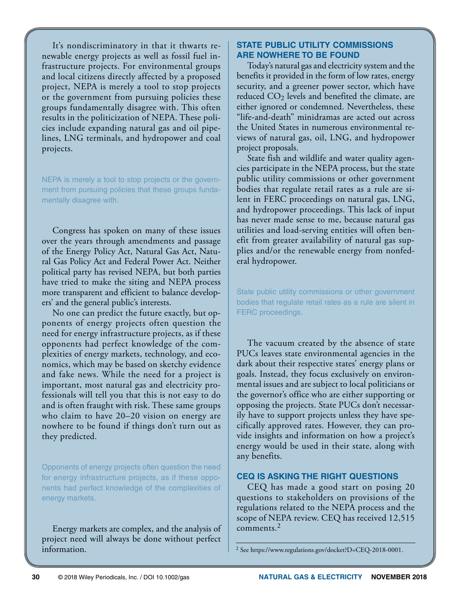It's nondiscriminatory in that it thwarts renewable energy projects as well as fossil fuel infrastructure projects. For environmental groups and local citizens directly affected by a proposed project, NEPA is merely a tool to stop projects or the government from pursuing policies these groups fundamentally disagree with. This often results in the politicization of NEPA. These policies include expanding natural gas and oil pipelines, LNG terminals, and hydropower and coal projects.

NEPA is merely a tool to stop projects or the government from pursuing policies that these groups fundamentally disagree with.

Congress has spoken on many of these issues over the years through amendments and passage of the Energy Policy Act, Natural Gas Act, Natural Gas Policy Act and Federal Power Act. Neither political party has revised NEPA, but both parties have tried to make the siting and NEPA process more transparent and efficient to balance developers' and the general public's interests.

No one can predict the future exactly, but opponents of energy projects often question the need for energy infrastructure projects, as if these opponents had perfect knowledge of the complexities of energy markets, technology, and economics, which may be based on sketchy evidence and fake news. While the need for a project is important, most natural gas and electricity professionals will tell you that this is not easy to do and is often fraught with risk. These same groups who claim to have 20–20 vision on energy are nowhere to be found if things don't turn out as they predicted.

Opponents of energy projects often question the need for energy infrastructure projects, as if these opponents had perfect knowledge of the complexities of energy markets.

Energy markets are complex, and the analysis of project need will always be done without perfect information. 2 See https://www.regulations.gov/docket?D=CEQ-2018-0001.

## **STATE PUBLIC UTILITY COMMISSIONS ARE NOWHERE TO BE FOUND**

Today's natural gas and electricity system and the benefits it provided in the form of low rates, energy security, and a greener power sector, which have reduced CO2 levels and benefited the climate, are either ignored or condemned. Nevertheless, these "life-and-death" minidramas are acted out across the United States in numerous environmental reviews of natural gas, oil, LNG, and hydropower project proposals.

State fish and wildlife and water quality agencies participate in the NEPA process, but the state public utility commissions or other government bodies that regulate retail rates as a rule are silent in FERC proceedings on natural gas, LNG, and hydropower proceedings. This lack of input has never made sense to me, because natural gas utilities and load-serving entities will often benefit from greater availability of natural gas supplies and/or the renewable energy from nonfederal hydropower.

State public utility commissions or other government bodies that regulate retail rates as a rule are silent in FERC proceedings.

The vacuum created by the absence of state PUCs leaves state environmental agencies in the dark about their respective states' energy plans or goals. Instead, they focus exclusively on environmental issues and are subject to local politicians or the governor's office who are either supporting or opposing the projects. State PUCs don't necessarily have to support projects unless they have specifically approved rates. However, they can provide insights and information on how a project's energy would be used in their state, along with any benefits.

#### **CEQ IS ASKING THE RIGHT QUESTIONS**

CEQ has made a good start on posing 20 questions to stakeholders on provisions of the regulations related to the NEPA process and the scope of NEPA review. CEQ has received 12,515 comments.<sup>2</sup>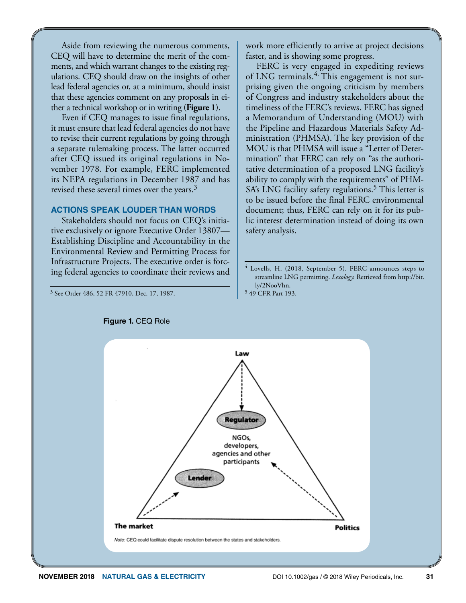Aside from reviewing the numerous comments, CEQ will have to determine the merit of the comments, and which warrant changes to the existing regulations. CEQ should draw on the insights of other lead federal agencies or, at a minimum, should insist that these agencies comment on any proposals in either a technical workshop or in writing (**Figure 1**).

Even if CEQ manages to issue final regulations, it must ensure that lead federal agencies do not have to revise their current regulations by going through a separate rulemaking process. The latter occurred after CEQ issued its original regulations in November 1978. For example, FERC implemented its NEPA regulations in December 1987 and has revised these several times over the years.<sup>3</sup>

### **ACTIONS SPEAK LOUDER THAN WORDS**

Stakeholders should not focus on CEQ's initiative exclusively or ignore Executive Order 13807— Establishing Discipline and Accountability in the Environmental Review and Permitting Process for Infrastructure Projects. The executive order is forcing federal agencies to coordinate their reviews and work more efficiently to arrive at project decisions faster, and is showing some progress.

FERC is very engaged in expediting reviews of LNG terminals.<sup>4.</sup> This engagement is not surprising given the ongoing criticism by members of Congress and industry stakeholders about the timeliness of the FERC's reviews. FERC has signed a Memorandum of Understanding (MOU) with the Pipeline and Hazardous Materials Safety Administration (PHMSA). The key provision of the MOU is that PHMSA will issue a "Letter of Determination" that FERC can rely on "as the authoritative determination of a proposed LNG facility's ability to comply with the requirements" of PHM- $SA's$  LNG facility safety regulations.<sup>5</sup> This letter is to be issued before the final FERC environmental document; thus, FERC can rely on it for its public interest determination instead of doing its own safety analysis.

Lovells, H. (2018, September 5). FERC announces steps to streamline LNG permitting. *Lexology.* Retrieved from http://bit. ly/2NooVhn. 5 49 CFR Part 193.

3 See Order 486, 52 FR 47910, Dec. 17, 1987.



**Figure 1.** CEQ Role